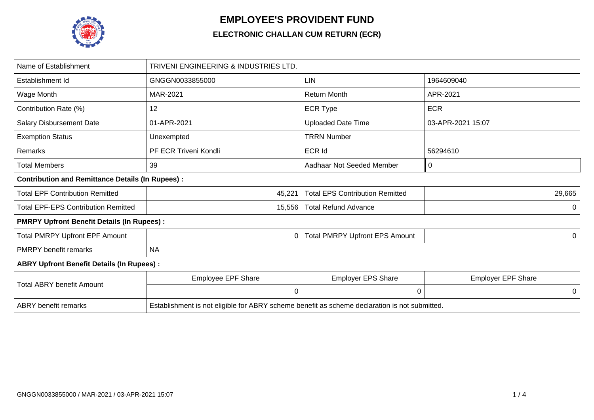

## **EMPLOYEE'S PROVIDENT FUND**

## **ELECTRONIC CHALLAN CUM RETURN (ECR)**

| Name of Establishment                                   | TRIVENI ENGINEERING & INDUSTRIES LTD.                                                         |                                        |                           |  |  |  |  |  |  |  |
|---------------------------------------------------------|-----------------------------------------------------------------------------------------------|----------------------------------------|---------------------------|--|--|--|--|--|--|--|
| Establishment Id                                        | GNGGN0033855000                                                                               | <b>LIN</b>                             | 1964609040                |  |  |  |  |  |  |  |
| Wage Month                                              | MAR-2021                                                                                      | <b>Return Month</b>                    | APR-2021                  |  |  |  |  |  |  |  |
| Contribution Rate (%)                                   | 12                                                                                            | <b>ECR Type</b>                        | <b>ECR</b>                |  |  |  |  |  |  |  |
| <b>Salary Disbursement Date</b>                         | 01-APR-2021                                                                                   | <b>Uploaded Date Time</b>              | 03-APR-2021 15:07         |  |  |  |  |  |  |  |
| <b>Exemption Status</b>                                 | Unexempted                                                                                    | <b>TRRN Number</b>                     |                           |  |  |  |  |  |  |  |
| Remarks                                                 | PF ECR Triveni Kondli                                                                         | <b>ECR Id</b>                          | 56294610                  |  |  |  |  |  |  |  |
| <b>Total Members</b>                                    | 39                                                                                            | Aadhaar Not Seeded Member              | 0                         |  |  |  |  |  |  |  |
| <b>Contribution and Remittance Details (In Rupees):</b> |                                                                                               |                                        |                           |  |  |  |  |  |  |  |
| <b>Total EPF Contribution Remitted</b>                  | 45,221                                                                                        | <b>Total EPS Contribution Remitted</b> | 29,665                    |  |  |  |  |  |  |  |
| <b>Total EPF-EPS Contribution Remitted</b>              | 15,556                                                                                        | <b>Total Refund Advance</b>            | 0                         |  |  |  |  |  |  |  |
| <b>PMRPY Upfront Benefit Details (In Rupees):</b>       |                                                                                               |                                        |                           |  |  |  |  |  |  |  |
| <b>Total PMRPY Upfront EPF Amount</b>                   | 0                                                                                             | <b>Total PMRPY Upfront EPS Amount</b>  | 0                         |  |  |  |  |  |  |  |
| <b>PMRPY benefit remarks</b>                            | <b>NA</b>                                                                                     |                                        |                           |  |  |  |  |  |  |  |
| <b>ABRY Upfront Benefit Details (In Rupees):</b>        |                                                                                               |                                        |                           |  |  |  |  |  |  |  |
| <b>Total ABRY benefit Amount</b>                        | Employee EPF Share                                                                            | <b>Employer EPS Share</b>              | <b>Employer EPF Share</b> |  |  |  |  |  |  |  |
|                                                         | 0                                                                                             | 0                                      | 0                         |  |  |  |  |  |  |  |
| <b>ABRY</b> benefit remarks                             | Establishment is not eligible for ABRY scheme benefit as scheme declaration is not submitted. |                                        |                           |  |  |  |  |  |  |  |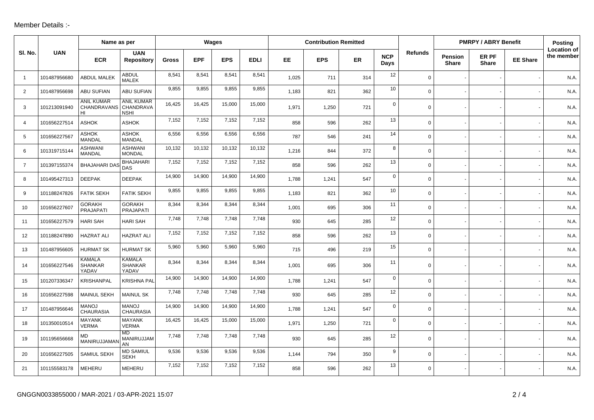## Member Details :-

|                |              | Name as per                                   |                                               | Wages  |            |            |             | <b>Contribution Remitted</b> |            |     |                    |                | <b>PMRPY / ABRY Benefit</b>    | Posting               |                 |                                  |
|----------------|--------------|-----------------------------------------------|-----------------------------------------------|--------|------------|------------|-------------|------------------------------|------------|-----|--------------------|----------------|--------------------------------|-----------------------|-----------------|----------------------------------|
| SI. No.        | <b>UAN</b>   | <b>ECR</b>                                    | <b>UAN</b><br><b>Repository</b>               | Gross  | <b>EPF</b> | <b>EPS</b> | <b>EDLI</b> | EE.                          | <b>EPS</b> | ER  | <b>NCP</b><br>Days | <b>Refunds</b> | <b>Pension</b><br><b>Share</b> | ER PF<br><b>Share</b> | <b>EE Share</b> | <b>Location of</b><br>the member |
| $\overline{1}$ | 101487956680 | <b>ABDUL MALEK</b>                            | <b>ABDUL</b><br><b>MALEK</b>                  | 8,541  | 8,541      | 8,541      | 8,541       | 1,025                        | 711        | 314 | 12                 | $\mathbf 0$    |                                |                       |                 | N.A.                             |
| 2              | 101487956698 | <b>ABU SUFIAN</b>                             | ABU SUFIAN                                    | 9,855  | 9,855      | 9,855      | 9,855       | 1,183                        | 821        | 362 | 10                 | $\mathbf 0$    |                                |                       |                 | N.A.                             |
| 3              | 101213091940 | <b>ANIL KUMAR</b><br><b>CHANDRAVANS</b><br>HI | <b>ANIL KUMAR</b><br>CHANDRAVA<br><b>NSHI</b> | 16,425 | 16,425     | 15,000     | 15,000      | 1,971                        | 1,250      | 721 | $\mathbf 0$        | $\mathbf 0$    |                                |                       |                 | N.A.                             |
| $\overline{4}$ | 101656227514 | <b>ASHOK</b>                                  | <b>ASHOK</b>                                  | 7,152  | 7,152      | 7,152      | 7,152       | 858                          | 596        | 262 | 13                 | $\mathbf 0$    |                                |                       |                 | N.A.                             |
| 5              | 101656227567 | <b>ASHOK</b><br><b>MANDAL</b>                 | <b>ASHOK</b><br><b>MANDAL</b>                 | 6,556  | 6,556      | 6,556      | 6,556       | 787                          | 546        | 241 | 14                 | $\mathbf 0$    |                                |                       |                 | N.A.                             |
| 6              | 101319715144 | ASHWANI<br><b>MANDAL</b>                      | <b>ASHWANI</b><br><b>MONDAL</b>               | 10,132 | 10,132     | 10,132     | 10,132      | 1,216                        | 844        | 372 | 8                  | $\mathbf 0$    |                                |                       |                 | N.A.                             |
| $\overline{7}$ | 101397155374 | <b>BHAJAHARI DA</b>                           | <b>BHAJAHARI</b><br><b>DAS</b>                | 7,152  | 7,152      | 7,152      | 7,152       | 858                          | 596        | 262 | 13                 | $\mathbf 0$    |                                |                       |                 | N.A.                             |
| 8              | 101495427313 | <b>DEEPAK</b>                                 | <b>DEEPAK</b>                                 | 14,900 | 14,900     | 14,900     | 14,900      | 1,788                        | 1,241      | 547 | $\mathbf 0$        | $\mathbf 0$    |                                |                       |                 | N.A.                             |
| 9              | 101188247826 | <b>FATIK SEKH</b>                             | <b>FATIK SEKH</b>                             | 9,855  | 9,855      | 9,855      | 9,855       | 1,183                        | 821        | 362 | 10                 | $\mathbf 0$    |                                |                       |                 | N.A.                             |
| 10             | 101656227607 | <b>GORAKH</b><br>PRAJAPATI                    | <b>GORAKH</b><br>PRAJAPATI                    | 8,344  | 8,344      | 8,344      | 8,344       | 1,001                        | 695        | 306 | 11                 | $\mathsf{O}$   |                                |                       |                 | N.A.                             |
| 11             | 101656227579 | <b>HARI SAH</b>                               | <b>HARI SAH</b>                               | 7,748  | 7,748      | 7,748      | 7,748       | 930                          | 645        | 285 | 12                 | $\mathbf 0$    |                                |                       |                 | N.A.                             |
| 12             | 101188247890 | <b>HAZRAT ALI</b>                             | <b>HAZRAT ALI</b>                             | 7,152  | 7,152      | 7,152      | 7,152       | 858                          | 596        | 262 | 13                 | $\mathbf 0$    |                                |                       |                 | N.A.                             |
| 13             | 101487956605 | <b>HURMAT SK</b>                              | <b>HURMAT SK</b>                              | 5,960  | 5,960      | 5,960      | 5,960       | 715                          | 496        | 219 | 15                 | $\mathsf{O}$   |                                |                       |                 | N.A.                             |
| 14             | 101656227546 | <b>KAMALA</b><br><b>SHANKAR</b><br>YADAV      | <b>KAMALA</b><br><b>SHANKAR</b><br>YADAV      | 8,344  | 8,344      | 8,344      | 8,344       | 1,001                        | 695        | 306 | 11                 | $\mathbf 0$    |                                |                       |                 | N.A.                             |
| 15             | 101207336347 | <b>KRISHANPAL</b>                             | <b>KRISHNA PAL</b>                            | 14,900 | 14,900     | 14,900     | 14,900      | 1,788                        | 1,241      | 547 | $\mathbf 0$        | $\mathbf 0$    |                                |                       |                 | N.A.                             |
| 16             | 101656227598 | <b>MAINUL SEKH</b>                            | <b>MAINUL SK</b>                              | 7,748  | 7,748      | 7,748      | 7,748       | 930                          | 645        | 285 | 12                 | $\mathsf{O}$   |                                |                       |                 | N.A.                             |
| 17             | 101487956646 | <b>MANOJ</b><br><b>CHAURASIA</b>              | <b>MANOJ</b><br><b>CHAURASIA</b>              | 14,900 | 14,900     | 14,900     | 14,900      | 1,788                        | 1,241      | 547 | $\mathbf 0$        | $\mathbf 0$    |                                |                       |                 | N.A.                             |
| 18             | 101350010514 | <b>MAYANK</b><br><b>VERMA</b>                 | <b>MAYANK</b><br><b>VERMA</b>                 | 16,425 | 16,425     | 15,000     | 15,000      | 1,971                        | 1,250      | 721 | $\mathbf 0$        | $\mathbf 0$    |                                |                       |                 | N.A.                             |
| 19             | 101195656668 | MD<br>MANIRUJJAMAI                            | MD<br>MANIRUJJAM<br>AN                        | 7,748  | 7,748      | 7,748      | 7,748       | 930                          | 645        | 285 | 12                 | $\mathbf 0$    |                                |                       |                 | N.A.                             |
| 20             | 101656227505 | SAMIUL SEKH                                   | <b>MD SAMIUL</b><br><b>SEKH</b>               | 9,536  | 9,536      | 9,536      | 9,536       | 1,144                        | 794        | 350 | 9                  | $\mathbf 0$    |                                |                       |                 | N.A.                             |
| 21             | 101155583178 | <b>MEHERU</b>                                 | <b>MEHERU</b>                                 | 7,152  | 7,152      | 7,152      | 7,152       | 858                          | 596        | 262 | 13                 | $\mathbf 0$    |                                |                       |                 | N.A.                             |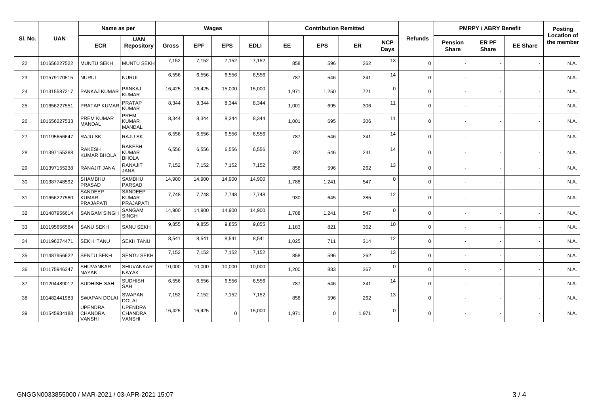|         | Name as per  |                                                    |                                                    | Wages        |            |            |             | <b>Contribution Remitted</b> |              |       |                    |          | <b>PMRPY / ABRY Benefit</b>    |                       |                 | Posting                   |
|---------|--------------|----------------------------------------------------|----------------------------------------------------|--------------|------------|------------|-------------|------------------------------|--------------|-------|--------------------|----------|--------------------------------|-----------------------|-----------------|---------------------------|
| SI. No. | <b>UAN</b>   | <b>ECR</b>                                         | <b>UAN</b><br><b>Repository</b>                    | <b>Gross</b> | <b>EPF</b> | <b>EPS</b> | <b>EDLI</b> | EE.                          | <b>EPS</b>   | ER    | <b>NCP</b><br>Days | Refunds  | <b>Pension</b><br><b>Share</b> | ER PF<br><b>Share</b> | <b>EE Share</b> | Location of<br>the member |
| 22      | 101656227522 | <b>MUNTU SEKH</b>                                  | MUNTU SEKH                                         | 7,152        | 7,152      | 7,152      | 7,152       | 858                          | 596          | 262   | 13                 | $\Omega$ |                                |                       |                 | N.A.                      |
| 23      | 101579170515 | <b>NURUL</b>                                       | <b>NURUL</b>                                       | 6,556        | 6,556      | 6,556      | 6,556       | 787                          | 546          | 241   | 14                 | $\Omega$ |                                |                       |                 | N.A.                      |
| 24      | 101315587217 | PANKAJ KUMAR                                       | PANKAJ<br><b>KUMAR</b>                             | 16,425       | 16,425     | 15,000     | 15,000      | 1,971                        | 1,250        | 721   | $\mathbf 0$        | $\Omega$ |                                |                       |                 | N.A.                      |
| 25      | 101656227551 | PRATAP KUMAF                                       | <b>PRATAP</b><br><b>KUMAR</b>                      | 8,344        | 8,344      | 8,344      | 8,344       | 1,001                        | 695          | 306   | 11                 | $\Omega$ |                                |                       |                 | N.A.                      |
| 26      | 101656227533 | <b>PREM KUMAR</b><br><b>MANDAL</b>                 | PREM<br><b>KUMAR</b><br>MANDAL                     | 8,344        | 8,344      | 8,344      | 8,344       | 1,001                        | 695          | 306   | 11                 | $\Omega$ |                                |                       |                 | N.A.                      |
| 27      | 101195656647 | RAJU SK                                            | <b>RAJU SK</b>                                     | 6,556        | 6,556      | 6,556      | 6,556       | 787                          | 546          | 241   | 14                 | $\Omega$ |                                |                       |                 | N.A.                      |
| 28      | 101397155388 | <b>RAKESH</b><br><b>KUMAR BHOLA</b>                | <b>RAKESH</b><br><b>KUMAR</b><br><b>BHOLA</b>      | 6,556        | 6,556      | 6,556      | 6,556       | 787                          | 546          | 241   | 14                 | $\Omega$ |                                |                       |                 | N.A.                      |
| 29      | 101397155238 | RANAJIT JANA                                       | <b>RANAJIT</b><br><b>JANA</b>                      | 7,152        | 7,152      | 7,152      | 7,152       | 858                          | 596          | 262   | 13                 | $\Omega$ |                                |                       |                 | N.A.                      |
| 30      | 101387748592 | SHAMBHU<br>PRASAD                                  | <b>SAMBHU</b><br><b>PARSAD</b>                     | 14,900       | 14,900     | 14,900     | 14,900      | 1.788                        | 1,241        | 547   | $\mathbf 0$        | $\Omega$ |                                |                       |                 | N.A.                      |
| 31      | 101656227580 | <b>SANDEEP</b><br><b>KUMAR</b><br><b>PRAJAPATI</b> | <b>SANDEEP</b><br><b>KUMAR</b><br><b>PRAJAPATI</b> | 7,748        | 7,748      | 7,748      | 7,748       | 930                          | 645          | 285   | 12                 | $\Omega$ |                                |                       |                 | N.A.                      |
| 32      | 101487956614 | <b>SANGAM SING</b>                                 | SANGAM<br><b>SINGH</b>                             | 14,900       | 14,900     | 14,900     | 14,900      | 1.788                        | 1,241        | 547   | $\mathbf 0$        | $\Omega$ |                                |                       |                 | N.A.                      |
| 33      | 101195656584 | <b>SANU SEKH</b>                                   | <b>SANU SEKH</b>                                   | 9,855        | 9,855      | 9,855      | 9,855       | 1.183                        | 821          | 362   | 10                 | $\Omega$ |                                |                       |                 | N.A.                      |
| 34      | 101196274471 | <b>SEKH TANU</b>                                   | <b>SEKH TANU</b>                                   | 8,541        | 8,541      | 8,541      | 8,541       | 1,025                        | 711          | 314   | 12                 | $\Omega$ |                                |                       |                 | N.A.                      |
| 35      | 101487956622 | <b>SENTU SEKH</b>                                  | <b>SENTU SEKH</b>                                  | 7,152        | 7,152      | 7,152      | 7,152       | 858                          | 596          | 262   | 13                 | $\Omega$ |                                |                       |                 | N.A.                      |
| 36      | 101175946347 | SHUVANKAR<br><b>NAYAK</b>                          | SHUVANKAR<br><b>NAYAK</b>                          | 10,000       | 10,000     | 10,000     | 10,000      | 1,200                        | 833          | 367   | $\mathbf 0$        | $\Omega$ |                                |                       |                 | N.A.                      |
| 37      | 101204489012 | <b>SUDHISH SAH</b>                                 | <b>SUDHISH</b><br>SAH                              | 6,556        | 6,556      | 6,556      | 6,556       | 787                          | 546          | 241   | 14                 | $\Omega$ |                                |                       |                 | N.A.                      |
| 38      | 101482441983 | <b>SWAPAN DOLA</b>                                 | <b>SWAPAN</b><br><b>DOLAI</b>                      | 7,152        | 7,152      | 7,152      | 7,152       | 858                          | 596          | 262   | 13                 | $\Omega$ |                                |                       |                 | N.A.                      |
| 39      | 101545934188 | <b>UPENDRA</b><br><b>CHANDRA</b><br><b>VANSHI</b>  | <b>UPENDRA</b><br><b>CHANDRA</b><br><b>VANSHI</b>  | 16,425       | 16,425     | $\Omega$   | 15,000      | 1,971                        | $\mathbf{0}$ | 1,971 | $\mathbf 0$        | $\Omega$ |                                |                       |                 | N.A.                      |